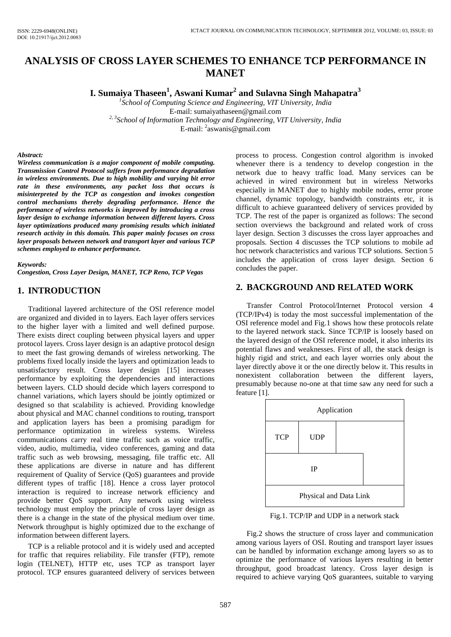# **ANALYSIS OF CROSS LAYER SCHEMES TO ENHANCE TCP PERFORMANCE IN MANET**

**I. Sumaiya Thaseen<sup>1</sup> , Aswani Kumar<sup>2</sup> and Sulavna Singh Mahapatra<sup>3</sup>**

*1 School of Computing Science and Engineering, VIT University, India*  E-mail: sumaiyathaseen@gmail.com *2, 3School of Information Technology and Engineering, VIT University, India* 

E-mail: <sup>2</sup>aswanis@gmail.com

#### *Abstract:*

*Wireless communication is a major component of mobile computing. Transmission Control Protocol suffers from performance degradation in wireless environments. Due to high mobility and varying bit error rate in these environments, any packet loss that occurs is misinterpreted by the TCP as congestion and invokes congestion control mechanisms thereby degrading performance. Hence the performance of wireless networks is improved by introducing a cross layer design to exchange information between different layers. Cross layer optimizations produced many promising results which initiated research activity in this domain. This paper mainly focuses on cross layer proposals between network and transport layer and various TCP schemes employed to enhance performance.* 

#### *Keywords:*

*Congestion, Cross Layer Design, MANET, TCP Reno, TCP Vegas* 

#### **1. INTRODUCTION**

Traditional layered architecture of the OSI reference model are organized and divided in to layers. Each layer offers services to the higher layer with a limited and well defined purpose. There exists direct coupling between physical layers and upper protocol layers. Cross layer design is an adaptive protocol design to meet the fast growing demands of wireless networking. The problems fixed locally inside the layers and optimization leads to unsatisfactory result. Cross layer design [15] increases performance by exploiting the dependencies and interactions between layers. CLD should decide which layers correspond to channel variations, which layers should be jointly optimized or designed so that scalability is achieved. Providing knowledge about physical and MAC channel conditions to routing, transport and application layers has been a promising paradigm for performance optimization in wireless systems. Wireless communications carry real time traffic such as voice traffic, video, audio, multimedia, video conferences, gaming and data traffic such as web browsing, messaging, file traffic etc. All these applications are diverse in nature and has different requirement of Quality of Service (QoS) guarantees and provide different types of traffic [18]. Hence a cross layer protocol interaction is required to increase network efficiency and provide better QoS support. Any network using wireless technology must employ the principle of cross layer design as there is a change in the state of the physical medium over time. Network throughput is highly optimized due to the exchange of information between different layers.

TCP is a reliable protocol and it is widely used and accepted for traffic that requires reliability. File transfer (FTP), remote login (TELNET), HTTP etc, uses TCP as transport layer protocol. TCP ensures guaranteed delivery of services between process to process. Congestion control algorithm is invoked whenever there is a tendency to develop congestion in the network due to heavy traffic load. Many services can be achieved in wired environment but in wireless Networks especially in MANET due to highly mobile nodes, error prone channel, dynamic topology, bandwidth constraints etc, it is difficult to achieve guaranteed delivery of services provided by TCP. The rest of the paper is organized as follows: The second section overviews the background and related work of cross layer design. Section 3 discusses the cross layer approaches and proposals. Section 4 discusses the TCP solutions to mobile ad hoc network characteristics and various TCP solutions. Section 5 includes the application of cross layer design. Section 6 concludes the paper.

# **2. BACKGROUND AND RELATED WORK**

Transfer Control Protocol/Internet Protocol version 4 (TCP/IPv4) is today the most successful implementation of the OSI reference model and Fig.1 shows how these protocols relate to the layered network stack. Since TCP/IP is loosely based on the layered design of the OSI reference model, it also inherits its potential flaws and weaknesses. First of all, the stack design is highly rigid and strict, and each layer worries only about the layer directly above it or the one directly below it. This results in nonexistent collaboration between the different layers, presumably because no-one at that time saw any need for such a feature [1].



Fig.1. TCP/IP and UDP in a network stack

Fig.2 shows the structure of cross layer and communication among various layers of OSI. Routing and transport layer issues can be handled by information exchange among layers so as to optimize the performance of various layers resulting in better throughput, good broadcast latency. Cross layer design is required to achieve varying QoS guarantees, suitable to varying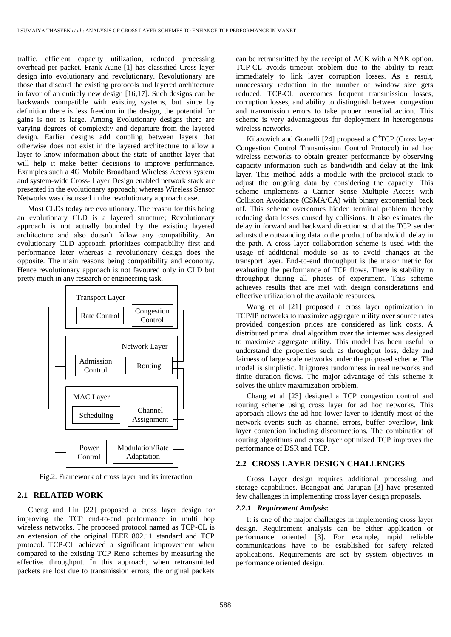traffic, efficient capacity utilization, reduced processing overhead per packet. Frank Aune [1] has classified Cross layer design into evolutionary and revolutionary. Revolutionary are those that discard the existing protocols and layered architecture in favor of an entirely new design [16,17]. Such designs can be backwards compatible with existing systems, but since by definition there is less freedom in the design, the potential for gains is not as large. Among Evolutionary designs there are varying degrees of complexity and departure from the layered design. Earlier designs add coupling between layers that otherwise does not exist in the layered architecture to allow a layer to know information about the state of another layer that will help it make better decisions to improve performance. Examples such a 4G Mobile Broadband Wireless Access system and system-wide Cross- Layer Design enabled network stack are presented in the evolutionary approach; whereas Wireless Sensor Networks was discussed in the revolutionary approach case.

Most CLDs today are evolutionary. The reason for this being an evolutionary CLD is a layered structure; Revolutionary approach is not actually bounded by the existing layered architecture and also doesn't follow any compatibility. An evolutionary CLD approach prioritizes compatibility first and performance later whereas a revolutionary design does the opposite. The main reasons being compatibility and economy. Hence revolutionary approach is not favoured only in CLD but pretty much in any research or engineering task.



Fig.2. Framework of cross layer and its interaction

#### **2.1 RELATED WORK**

Cheng and Lin [22] proposed a cross layer design for improving the TCP end-to-end performance in multi hop wireless networks. The proposed protocol named as TCP-CL is an extension of the original IEEE 802.11 standard and TCP protocol. TCP-CL achieved a significant improvement when compared to the existing TCP Reno schemes by measuring the effective throughput. In this approach, when retransmitted packets are lost due to transmission errors, the original packets can be retransmitted by the receipt of ACK with a NAK option. TCP-CL avoids timeout problem due to the ability to react immediately to link layer corruption losses. As a result, unnecessary reduction in the number of window size gets reduced. TCP-CL overcomes frequent transmission losses, corruption losses, and ability to distinguish between congestion and transmission errors to take proper remedial action. This scheme is very advantageous for deployment in heterogenous wireless networks.

Kilazovich and Granelli [24] proposed a  $C<sup>3</sup>TCP$  (Cross layer Congestion Control Transmission Control Protocol) in ad hoc wireless networks to obtain greater performance by observing capacity information such as bandwidth and delay at the link layer. This method adds a module with the protocol stack to adjust the outgoing data by considering the capacity. This scheme implements a Carrier Sense Multiple Access with Collision Avoidance (CSMA/CA) with binary exponential back off. This scheme overcomes hidden terminal problem thereby reducing data losses caused by collisions. It also estimates the delay in forward and backward direction so that the TCP sender adjusts the outstanding data to the product of bandwidth delay in the path. A cross layer collaboration scheme is used with the usage of additional module so as to avoid changes at the transport layer. End-to-end throughput is the major metric for evaluating the performance of TCP flows. There is stability in throughput during all phases of experiment. This scheme achieves results that are met with design considerations and effective utilization of the available resources.

Wang et al [21] proposed a cross layer optimization in TCP/IP networks to maximize aggregate utility over source rates provided congestion prices are considered as link costs. A distributed primal dual algorithm over the internet was designed to maximize aggregate utility. This model has been useful to understand the properties such as throughput loss, delay and fairness of large scale networks under the proposed scheme. The model is simplistic. It ignores randomness in real networks and finite duration flows. The major advantage of this scheme it solves the utility maximization problem.

Chang et al [23] designed a TCP congestion control and routing scheme using cross layer for ad hoc networks. This approach allows the ad hoc lower layer to identify most of the network events such as channel errors, buffer overflow, link layer contention including disconnections. The combination of routing algorithms and cross layer optimized TCP improves the performance of DSR and TCP.

## **2.2 CROSS LAYER DESIGN CHALLENGES**

Cross Layer design requires additional processing and storage capabilities. Boangoat and Jarupan [3] have presented few challenges in implementing cross layer design proposals.

## *2.2.1 Requirement Analysis***:**

It is one of the major challenges in implementing cross layer design. Requirement analysis can be either application or performance oriented [3]. For example, rapid reliable communications have to be established for safety related applications. Requirements are set by system objectives in performance oriented design.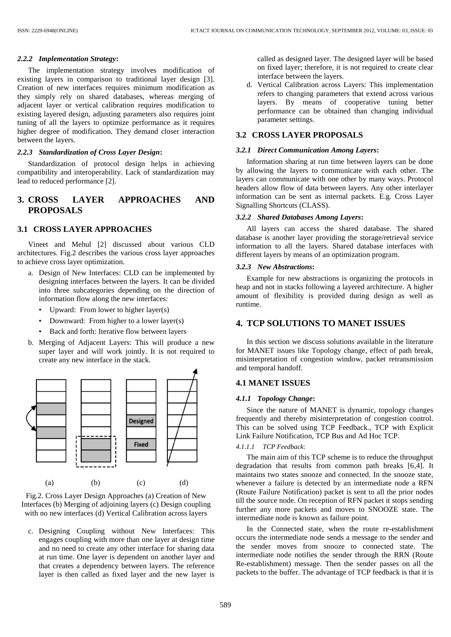#### *2.2.2 Implementation Strategy***:**

The implementation strategy involves modification of existing layers in comparison to traditional layer design [3]. Creation of new interfaces requires minimum modification as they simply rely on shared databases, whereas merging of adjacent layer or vertical calibration requires modification to existing layered design, adjusting parameters also requires joint tuning of all the layers to optimize performance as it requires higher degree of modification. They demand closer interaction between the layers.

## *2.2.3 Standardization of Cross Layer Design***:**

Standardization of protocol design helps in achieving compatibility and interoperability. Lack of standardization may lead to reduced performance [2].

# **3. CROSS LAYER APPROACHES AND PROPOSALS**

# **3.1 CROSS LAYER APPROACHES**

Vineet and Mehul [2] discussed about various CLD architectures. Fig.2 describes the various cross layer approaches to achieve cross layer optimization.

- a. Design of New Interfaces: CLD can be implemented by designing interfaces between the layers. It can be divided into three subcategories depending on the direction of information flow along the new interfaces:
	- Upward: From lower to higher layer(s)
	- Downward: From higher to a lower layer(s)
	- Back and forth: Iterative flow between layers
- b. Merging of Adjacent Layers: This will produce a new super layer and will work jointly. It is not required to create any new interface in the stack.





c. Designing Coupling without New Interfaces: This engages coupling with more than one layer at design time and no need to create any other interface for sharing data at run time. One layer is dependent on another layer and that creates a dependency between layers. The reference layer is then called as fixed layer and the new layer is called as designed layer. The designed layer will be based on fixed layer; therefore, it is not required to create clear interface between the layers.

d. Vertical Calibration across Layers: This implementation refers to changing parameters that extend across various layers. By means of cooperative tuning better performance can be obtained than changing individual parameter settings.

#### **3.2 CROSS LAYER PROPOSALS**

#### *3.2.1 Direct Communication Among Layers***:**

Information sharing at run time between layers can be done by allowing the layers to communicate with each other. The layers can communicate with one other by many ways. Protocol headers allow flow of data between layers. Any other interlayer information can be sent as internal packets. E.g. Cross Layer Signalling Shortcuts (CLASS).

#### *3.2.2 Shared Databases Among Layers***:**

All layers can access the shared database. The shared database is another layer providing the storage/retrieval service information to all the layers. Shared database interfaces with different layers by means of an optimization program.

#### *3.2.3 New Abstractions***:**

Example for new abstractions is organizing the protocols in heap and not in stacks following a layered architecture. A higher amount of flexibility is provided during design as well as runtime.

# **4. TCP SOLUTIONS TO MANET ISSUES**

In this section we discuss solutions available in the literature for MANET issues like Topology change, effect of path break, misinterpretation of congestion window, packet retransmission and temporal handoff.

#### **4.1 MANET ISSUES**

#### *4.1.1 Topology Change***:**

Since the nature of MANET is dynamic, topology changes frequently and thereby misinterpretation of congestion control. This can be solved using TCP Feedback., TCP with Explicit Link Failure Notification, TCP Bus and Ad Hoc TCP.

#### *4.1.1.1 TCP Feedback*:

The main aim of this TCP scheme is to reduce the throughput degradation that results from common path breaks [6,4]. It maintains two states snooze and connected. In the snooze state, whenever a failure is detected by an intermediate node a RFN (Route Failure Notification) packet is sent to all the prior nodes till the source node. On reception of RFN packet it stops sending further any more packets and moves to SNOOZE state. The intermediate node is known as failure point.

In the Connected state, when the route re-establishment occurs the intermediate node sends a message to the sender and the sender moves from snooze to connected state. The intermediate node notifies the sender through the RRN (Route Re-establishment) message. Then the sender passes on all the packets to the buffer. The advantage of TCP feedback is that it is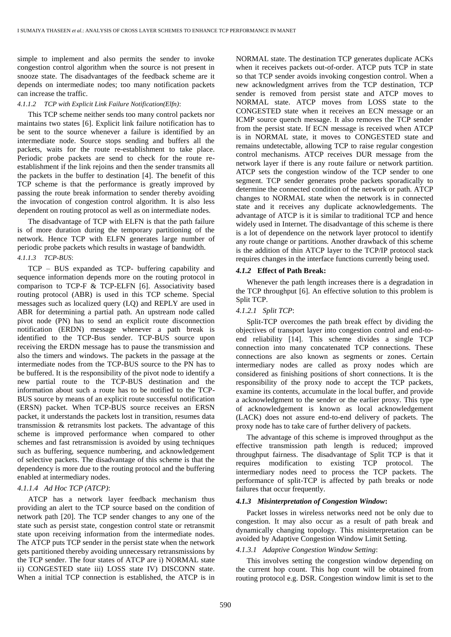simple to implement and also permits the sender to invoke congestion control algorithm when the source is not present in snooze state. The disadvantages of the feedback scheme are it depends on intermediate nodes; too many notification packets can increase the traffic.

#### *4.1.1.2 TCP with Explicit Link Failure Notification(Elfn)*:

This TCP scheme neither sends too many control packets nor maintains two states [6]. Explicit link failure notification has to be sent to the source whenever a failure is identified by an intermediate node. Source stops sending and buffers all the packets, waits for the route re-establishment to take place. Periodic probe packets are send to check for the route reestablishment if the link rejoins and then the sender transmits all the packets in the buffer to destination [4]. The benefit of this TCP scheme is that the performance is greatly improved by passing the route break information to sender thereby avoiding the invocation of congestion control algorithm. It is also less dependent on routing protocol as well as on intermediate nodes.

The disadvantage of TCP with ELFN is that the path failure is of more duration during the temporary partitioning of the network. Hence TCP with ELFN generates large number of periodic probe packets which results in wastage of bandwidth. *4.1.1.3 TCP-BUS*:

TCP – BUS expanded as TCP- buffering capability and sequence information depends more on the routing protocol in comparison to TCP-F & TCP-ELFN [6]. Associativity based routing protocol (ABR) is used in this TCP scheme. Special messages such as localized query (LQ) and REPLY are used in ABR for determining a partial path. An upstream node called pivot node (PN) has to send an explicit route disconnection notification (ERDN) message whenever a path break is identified to the TCP-Bus sender. TCP-BUS source upon receiving the ERDN message has to pause the transmission and also the timers and windows. The packets in the passage at the intermediate nodes from the TCP-BUS source to the PN has to be buffered. It is the responsibility of the pivot node to identify a new partial route to the TCP-BUS destination and the information about such a route has to be notified to the TCP-BUS source by means of an explicit route successful notification (ERSN) packet. When TCP-BUS source receives an ERSN packet, it understands the packets lost in transition, resumes data transmission & retransmits lost packets. The advantage of this scheme is improved performance when compared to other schemes and fast retransmission is avoided by using techniques such as buffering, sequence numbering, and acknowledgement of selective packets. The disadvantage of this scheme is that the dependency is more due to the routing protocol and the buffering enabled at intermediary nodes.

## *4.1.1.4 Ad Hoc TCP (ATCP)*:

ATCP has a network layer feedback mechanism thus providing an alert to the TCP source based on the condition of network path [20]. The TCP sender changes to any one of the state such as persist state, congestion control state or retransmit state upon receiving information from the intermediate nodes. The ATCP puts TCP sender in the persist state when the network gets partitioned thereby avoiding unnecessary retransmissions by the TCP sender. The four states of ATCP are i) NORMAL state ii) CONGESTED state iii) LOSS state IV) DISCONN state. When a initial TCP connection is established, the ATCP is in NORMAL state. The destination TCP generates duplicate ACKs when it receives packets out-of-order. ATCP puts TCP in state so that TCP sender avoids invoking congestion control. When a new acknowledgment arrives from the TCP destination, TCP sender is removed from persist state and ATCP moves to NORMAL state. ATCP moves from LOSS state to the CONGESTED state when it receives an ECN message or an ICMP source quench message. It also removes the TCP sender from the persist state. If ECN message is received when ATCP is in NORMAL state, it moves to CONGESTED state and remains undetectable, allowing TCP to raise regular congestion control mechanisms. ATCP receives DUR message from the network layer if there is any route failure or network partition. ATCP sets the congestion window of the TCP sender to one segment. TCP sender generates probe packets sporadically to determine the connected condition of the network or path. ATCP changes to NORMAL state when the network is in connected state and it receives any duplicate acknowledgements. The advantage of ATCP is it is similar to traditional TCP and hence widely used in Internet. The disadvantage of this scheme is there is a lot of dependence on the network layer protocol to identify any route change or partitions. Another drawback of this scheme is the addition of thin ATCP layer to the TCP/IP protocol stack requires changes in the interface functions currently being used.

#### *4.1.2* **Effect of Path Break:**

Whenever the path length increases there is a degradation in the TCP throughput [6]. An effective solution to this problem is Split TCP.

#### *4.1.2.1 Split TCP*:

Split-TCP overcomes the path break effect by dividing the objectives of transport layer into congestion control and end-toend reliability [14]. This scheme divides a single TCP connection into many concatenated TCP connections. These connections are also known as segments or zones. Certain intermediary nodes are called as proxy nodes which are considered as finishing positions of short connections. It is the responsibility of the proxy node to accept the TCP packets, examine its contents, accumulate in the local buffer, and provide a acknowledgment to the sender or the earlier proxy. This type of acknowledgement is known as local acknowledgement (LACK) does not assure end-to-end delivery of packets. The proxy node has to take care of further delivery of packets.

The advantage of this scheme is improved throughput as the effective transmission path length is reduced; improved throughput fairness. The disadvantage of Split TCP is that it requires modification to existing TCP protocol. The intermediary nodes need to process the TCP packets. The performance of split-TCP is affected by path breaks or node failures that occur frequently.

## *4.1.3 Misinterpretation of Congestion Window***:**

Packet losses in wireless networks need not be only due to congestion. It may also occur as a result of path break and dynamically changing topology. This misinterpretation can be avoided by Adaptive Congestion Window Limit Setting.

#### *4.1.3.1 Adaptive Congestion Window Setting*:

This involves setting the congestion window depending on the current hop count. This hop count will be obtained from routing protocol e.g. DSR. Congestion window limit is set to the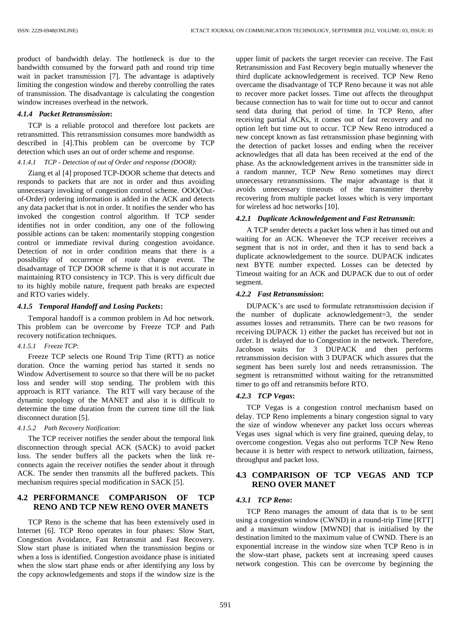product of bandwidth delay. The bottleneck is due to the bandwidth consumed by the forward path and round trip time wait in packet transmission [7]. The advantage is adaptively limiting the congestion window and thereby controlling the rates of transmission. The disadvantage is calculating the congestion window increases overhead in the network.

#### *4.1.4 Packet Retransmission***:**

TCP is a reliable protocol and therefore lost packets are retransmitted. This retransmission consumes more bandwidth as described in [4].This problem can be overcome by TCP detection which uses an out of order scheme and response.

## *4.1.4.1 TCP - Detection of out of Order and response (DOOR)*:

Ziang et al [4] proposed TCP-DOOR scheme that detects and responds to packets that are not in order and thus avoiding unnecessary invoking of congestion control scheme. OOO(Outof-Order) ordering information is added in the ACK and detects any data packet that is not in order. It notifies the sender who has invoked the congestion control algorithm. If TCP sender identifies not in order condition, any one of the following possible actions can be taken: momentarily stopping congestion control or immediate revival during congestion avoidance. Detection of not in order condition means that there is a possibility of occurrence of route change event. The disadvantage of TCP DOOR scheme is that it is not accurate in maintaining RTO consistency in TCP. This is very difficult due to its highly mobile nature, frequent path breaks are expected and RTO varies widely.

## *4.1.5 Temporal Handoff and Losing Packets***:**

Temporal handoff is a common problem in Ad hoc network. This problem can be overcome by Freeze TCP and Path recovery notification techniques.

## *4.1.5.1 Freeze TCP*:

Freeze TCP selects one Round Trip Time (RTT) as notice duration. Once the warning period has started it sends no Window Advertisement to source so that there will be no packet loss and sender will stop sending. The problem with this approach is RTT variance. The RTT will vary because of the dynamic topology of the MANET and also it is difficult to determine the time duration from the current time till the link disconnect duration [5].

#### *4.1.5.2 Path Recovery Notification*:

The TCP receiver notifies the sender about the temporal link disconnection through special ACK (SACK) to avoid packet loss. The sender buffers all the packets when the link reconnects again the receiver notifies the sender about it through ACK. The sender then transmits all the buffered packets. This mechanism requires special modification in SACK [5].

# **4.2 PERFORMANCE COMPARISON OF TCP RENO AND TCP NEW RENO OVER MANETS**

TCP Reno is the scheme that has been extensively used in Internet [6]. TCP Reno operates in four phases: Slow Start, Congestion Avoidance, Fast Retransmit and Fast Recovery. Slow start phase is initiated when the transmission begins or when a loss is identified. Congestion avoidance phase is initiated when the slow start phase ends or after identifying any loss by the copy acknowledgements and stops if the window size is the upper limit of packets the target recevier can receive. The Fast Retransmission and Fast Recovery begin mutually whenever the third duplicate acknowledgement is received. TCP New Reno overcame the disadvantage of TCP Reno because it was not able to recover more packet losses. Time out affects the throughput because connection has to wait for time out to occur and cannot send data during that period of time. In TCP Reno, after receiving partial ACKs, it comes out of fast recovery and no option left but time out to occur. TCP New Reno introduced a new concept known as fast retransmission phase beginning with the detection of packet losses and ending when the receiver acknowledges that all data has been received at the end of the phase. As the acknowledgement arrives in the transmitter side in a random manner, TCP New Reno sometimes may direct unnecessary retransmissions. The major advantage is that it avoids unnecessary timeouts of the transmitter thereby recovering from multiple packet losses which is very important for wireless ad hoc networks [10].

#### *4.2.1 Duplicate Acknowledgement and Fast Retransmit***:**

A TCP sender detects a packet loss when it has timed out and waiting for an ACK. Whenever the TCP receiver receives a segment that is not in order, and then it has to send back a duplicate acknowledgement to the source. DUPACK indicates next BYTE number expected. Losses can be detected by Timeout waiting for an ACK and DUPACK due to out of order segment.

## *4.2.2 Fast Retransmission***:**

DUPACK's are used to formulate retransmission decision if the number of duplicate acknowledgement=3, the sender assumes losses and retransmits. There can be two reasons for receiving DUPACK 1) either the packet has received but not in order. It is delayed due to Congestion in the network. Therefore, Jacobson waits for 3 DUPACK and then performs retransmission decision with 3 DUPACK which assures that the segment has been surely lost and needs retransmission. The segment is retransmitted without waiting for the retransmitted timer to go off and retransmits before RTO.

## *4.2.3 TCP Vegas***:**

TCP Vegas is a congestion control mechanism based on delay. TCP Reno implements a binary congestion signal to vary the size of window whenever any packet loss occurs whereas Vegas uses signal which is very fine grained, queuing delay, to overcome congestion. Vegas also out performs TCP New Reno because it is better with respect to network utilization, fairness, throughput and packet loss.

## **4.3 COMPARISON OF TCP VEGAS AND TCP RENO OVER MANET**

#### *4.3.1 TCP Reno***:**

TCP Reno manages the amount of data that is to be sent using a congestion window (CWND) in a round-trip Time [RTT] and a maximum window [MWND] that is initialised by the destination limited to the maximum value of CWND. There is an exponential increase in the window size when TCP Reno is in the slow-start phase, packets sent at increasing speed causes network congestion. This can be overcome by beginning the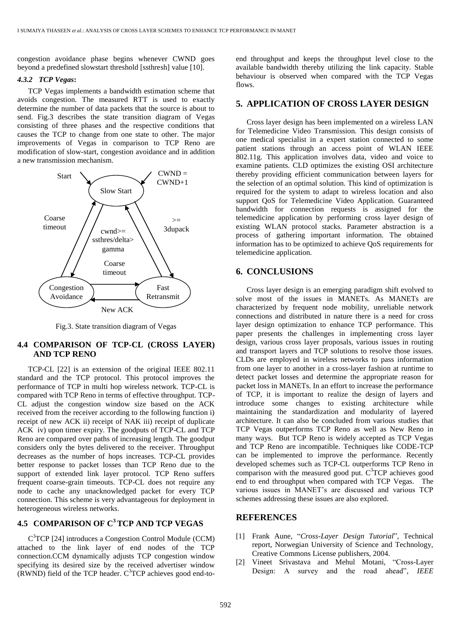congestion avoidance phase begins whenever CWND goes beyond a predefined slowstart threshold [ssthresh] value [10].

#### *4.3.2 TCP Vegas***:**

TCP Vegas implements a bandwidth estimation scheme that avoids congestion. The measured RTT is used to exactly determine the number of data packets that the source is about to send. Fig.3 describes the state transition diagram of Vegas consisting of three phases and the respective conditions that causes the TCP to change from one state to other. The major improvements of Vegas in comparison to TCP Reno are modification of slow-start, congestion avoidance and in addition a new transmission mechanism.



Fig.3. State transition diagram of Vegas

# **4.4 COMPARISON OF TCP-CL (CROSS LAYER) AND TCP RENO**

TCP-CL [22] is an extension of the original IEEE 802.11 standard and the TCP protocol. This protocol improves the performance of TCP in multi hop wireless network. TCP-CL is compared with TCP Reno in terms of effective throughput. TCP-CL adjust the congestion window size based on the ACK received from the receiver according to the following function i) receipt of new ACK ii) receipt of NAK iii) receipt of duplicate ACK iv) upon timer expiry. The goodputs of TCP-CL and TCP Reno are compared over paths of increasing length. The goodput considers only the bytes delivered to the receiver. Throughput decreases as the number of hops increases. TCP-CL provides better response to packet losses than TCP Reno due to the support of extended link layer protocol. TCP Reno suffers frequent coarse-grain timeouts. TCP-CL does not require any node to cache any unacknowledged packet for every TCP connection. This scheme is very advantageous for deployment in heterogeneous wireless networks.

# **4.5 COMPARISON OF C<sup>3</sup>TCP AND TCP VEGAS**

C <sup>3</sup>TCP [24] introduces a Congestion Control Module (CCM) attached to the link layer of end nodes of the TCP connection.CCM dynamically adjusts TCP congestion window specifying its desired size by the received advertiser window (RWND) field of the TCP header.  $C<sup>3</sup>TCP$  achieves good end-toend throughput and keeps the throughput level close to the available bandwidth thereby utilizing the link capacity. Stable behaviour is observed when compared with the TCP Vegas flows.

# **5. APPLICATION OF CROSS LAYER DESIGN**

Cross layer design has been implemented on a wireless LAN for Telemedicine Video Transmission. This design consists of one medical specialist in a expert station connected to some patient stations through an access point of WLAN IEEE 802.11g. This application involves data, video and voice to examine patients. CLD optimizes the existing OSI architecture thereby providing efficient communication between layers for the selection of an optimal solution. This kind of optimization is required for the system to adapt to wireless location and also support QoS for Telemedicine Video Application. Guaranteed bandwidth for connection requests is assigned for the telemedicine application by performing cross layer design of existing WLAN protocol stacks. Parameter abstraction is a process of gathering important information. The obtained information has to be optimized to achieve QoS requirements for telemedicine application.

# **6. CONCLUSIONS**

Cross layer design is an emerging paradigm shift evolved to solve most of the issues in MANETs. As MANETs are characterized by frequent node mobility, unreliable network connections and distributed in nature there is a need for cross layer design optimization to enhance TCP performance. This paper presents the challenges in implementing cross layer design, various cross layer proposals, various issues in routing and transport layers and TCP solutions to resolve those issues. CLDs are employed in wireless networks to pass information from one layer to another in a cross-layer fashion at runtime to detect packet losses and determine the appropriate reason for packet loss in MANETs. In an effort to increase the performance of TCP, it is important to realize the design of layers and introduce some changes to existing architecture while maintaining the standardization and modularity of layered architecture. It can also be concluded from various studies that TCP Vegas outperforms TCP Reno as well as New Reno in many ways. But TCP Reno is widely accepted as TCP Vegas and TCP Reno are incompatible. Techniques like CODE-TCP can be implemented to improve the performance. Recently developed schemes such as TCP-CL outperforms TCP Reno in comparison with the measured good put.  $C<sup>3</sup>TCP$  achieves good end to end throughput when compared with TCP Vegas. The various issues in MANET's are discussed and various TCP schemes addressing these issues are also explored.

## **REFERENCES**

- [1] Frank Aune, "*Cross-Layer Design Tutorial*", Technical report, Norwegian University of Science and Technology, Creative Commons License publishers, 2004.
- [2] Vineet Srivastava and Mehul Motani, "Cross-Layer Design: A survey and the road ahead", *IEEE*